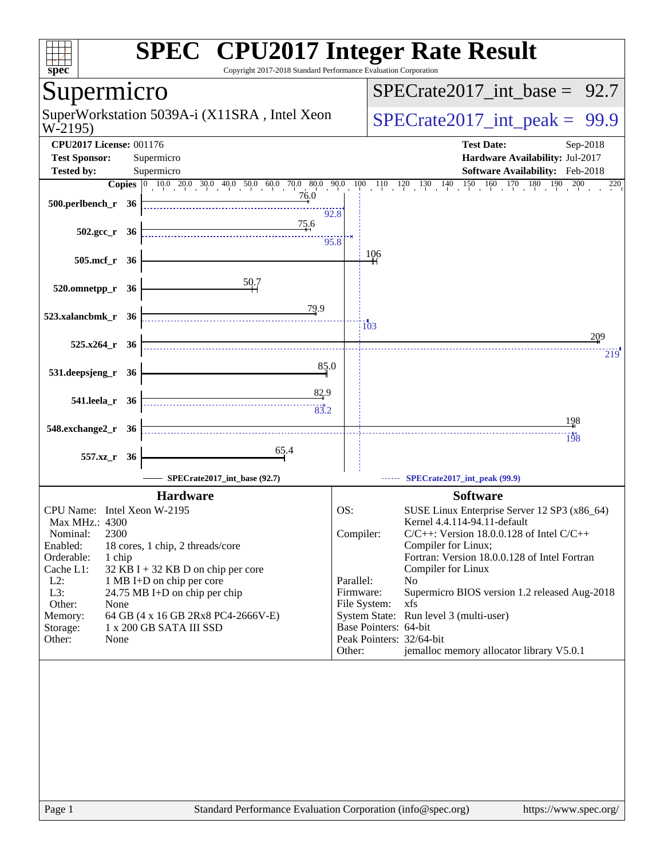| spec <sup>®</sup>                                                                                                            | <b>SPEC<sup>®</sup> CPU2017 Integer Rate Result</b><br>Copyright 2017-2018 Standard Performance Evaluation Corporation |                                     |                        |                                                                                                                                                                                                                                              |
|------------------------------------------------------------------------------------------------------------------------------|------------------------------------------------------------------------------------------------------------------------|-------------------------------------|------------------------|----------------------------------------------------------------------------------------------------------------------------------------------------------------------------------------------------------------------------------------------|
| Supermicro                                                                                                                   |                                                                                                                        |                                     |                        | $SPECrate2017\_int\_base =$<br>92.7                                                                                                                                                                                                          |
| W-2195)                                                                                                                      | SuperWorkstation 5039A-i (X11SRA, Intel Xeon                                                                           |                                     |                        | $SPECTate2017\_int\_peak = 99.9$                                                                                                                                                                                                             |
| <b>CPU2017 License: 001176</b>                                                                                               |                                                                                                                        |                                     |                        | <b>Test Date:</b><br>Sep-2018                                                                                                                                                                                                                |
| <b>Test Sponsor:</b>                                                                                                         | Supermicro                                                                                                             |                                     |                        | Hardware Availability: Jul-2017<br>Software Availability: Feb-2018                                                                                                                                                                           |
| Tested by:                                                                                                                   | Supermicro                                                                                                             |                                     |                        | $160$ $170$ $180$<br>190<br>200<br>220                                                                                                                                                                                                       |
| 500.perlbench_r 36                                                                                                           | 76.0                                                                                                                   | 92.8                                |                        |                                                                                                                                                                                                                                              |
| $502.\text{gcc r}$ 36                                                                                                        | 75.6<br>95.8                                                                                                           |                                     |                        |                                                                                                                                                                                                                                              |
| 505.mcf_r 36                                                                                                                 |                                                                                                                        |                                     | 106                    |                                                                                                                                                                                                                                              |
| 520.omnetpp_r<br>- 36                                                                                                        | <u>50.7</u>                                                                                                            |                                     |                        |                                                                                                                                                                                                                                              |
| 523.xalancbmk_r 36                                                                                                           | <u>79.9</u>                                                                                                            |                                     | 103                    | 209                                                                                                                                                                                                                                          |
| 525.x264_r 36                                                                                                                |                                                                                                                        |                                     |                        | 219                                                                                                                                                                                                                                          |
| 531.deepsjeng_r 36                                                                                                           | 85.0                                                                                                                   |                                     |                        |                                                                                                                                                                                                                                              |
| 541.leela_r 36                                                                                                               | 82.9                                                                                                                   |                                     |                        |                                                                                                                                                                                                                                              |
| 548.exchange2_r 36                                                                                                           |                                                                                                                        |                                     |                        | 198<br><br>198                                                                                                                                                                                                                               |
| 557.xz_r 36                                                                                                                  | 65.4                                                                                                                   |                                     |                        |                                                                                                                                                                                                                                              |
|                                                                                                                              | SPECrate2017_int_base (92.7)                                                                                           |                                     |                        | SPECrate2017_int_peak (99.9)                                                                                                                                                                                                                 |
|                                                                                                                              | <b>Hardware</b>                                                                                                        |                                     |                        | <b>Software</b>                                                                                                                                                                                                                              |
| CPU Name: Intel Xeon W-2195<br>Max MHz.: 4300<br>2300<br>Nominal:<br>Enabled:<br>Orderable:<br>1 chip<br>Cache L1:<br>$L2$ : | 18 cores, 1 chip, 2 threads/core<br>32 KB I + 32 KB D on chip per core<br>1 MB I+D on chip per core                    | OS:                                 | Compiler:<br>Parallel: | SUSE Linux Enterprise Server 12 SP3 (x86_64)<br>Kernel 4.4.114-94.11-default<br>$C/C++$ : Version 18.0.0.128 of Intel $C/C++$<br>Compiler for Linux;<br>Fortran: Version 18.0.0.128 of Intel Fortran<br>Compiler for Linux<br>N <sub>o</sub> |
| L3:<br>Other:<br>None<br>Memory:<br>Storage:<br>Other:<br>None                                                               | 24.75 MB I+D on chip per chip<br>64 GB (4 x 16 GB 2Rx8 PC4-2666V-E)<br>1 x 200 GB SATA III SSD                         | Firmware:<br>File System:<br>Other: |                        | Supermicro BIOS version 1.2 released Aug-2018<br>xfs<br>System State: Run level 3 (multi-user)<br>Base Pointers: 64-bit<br>Peak Pointers: 32/64-bit<br>jemalloc memory allocator library V5.0.1                                              |
|                                                                                                                              |                                                                                                                        |                                     |                        |                                                                                                                                                                                                                                              |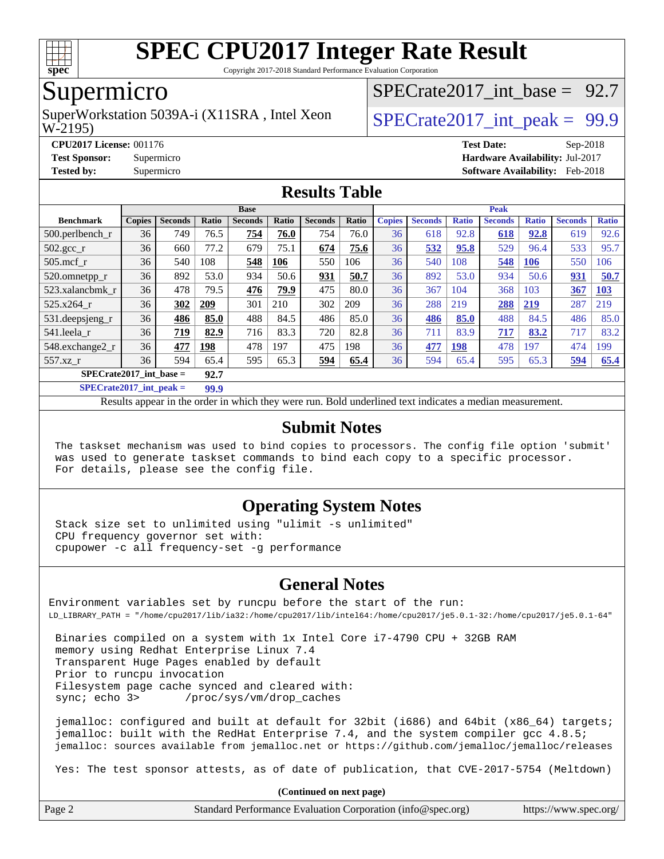

Copyright 2017-2018 Standard Performance Evaluation Corporation

### Supermicro

W-2195) SuperWorkstation 5039A-i (X11SRA, Intel Xeon  $\vert$  SPECrate2017 int peak = 99.9

[SPECrate2017\\_int\\_base =](http://www.spec.org/auto/cpu2017/Docs/result-fields.html#SPECrate2017intbase) 92.7

**[CPU2017 License:](http://www.spec.org/auto/cpu2017/Docs/result-fields.html#CPU2017License)** 001176 **[Test Date:](http://www.spec.org/auto/cpu2017/Docs/result-fields.html#TestDate)** Sep-2018 **[Test Sponsor:](http://www.spec.org/auto/cpu2017/Docs/result-fields.html#TestSponsor)** Supermicro **[Hardware Availability:](http://www.spec.org/auto/cpu2017/Docs/result-fields.html#HardwareAvailability)** Jul-2017 **[Tested by:](http://www.spec.org/auto/cpu2017/Docs/result-fields.html#Testedby)** Supermicro **[Software Availability:](http://www.spec.org/auto/cpu2017/Docs/result-fields.html#SoftwareAvailability)** Feb-2018

#### **[Results Table](http://www.spec.org/auto/cpu2017/Docs/result-fields.html#ResultsTable)**

|                                   | <b>Base</b>   |                |            |                |       |                | <b>Peak</b> |               |                |              |                |              |                |              |
|-----------------------------------|---------------|----------------|------------|----------------|-------|----------------|-------------|---------------|----------------|--------------|----------------|--------------|----------------|--------------|
| <b>Benchmark</b>                  | <b>Copies</b> | <b>Seconds</b> | Ratio      | <b>Seconds</b> | Ratio | <b>Seconds</b> | Ratio       | <b>Copies</b> | <b>Seconds</b> | <b>Ratio</b> | <b>Seconds</b> | <b>Ratio</b> | <b>Seconds</b> | <b>Ratio</b> |
| 500.perlbench r                   | 36            | 749            | 76.5       | 754            | 76.0  | 754            | 76.0        | 36            | 618            | 92.8         | 618            | 92.8         | 619            | 92.6         |
| 502.gcc_r                         | 36            | 660            | 77.2       | 679            | 75.1  | 674            | 75.6        | 36            | 532            | 95.8         | 529            | 96.4         | 533            | 95.7         |
| $505$ .mcf r                      | 36            | 540            | 108        | 548            | 106   | 550            | 106         | 36            | 540            | 108          | 548            | 106          | 550            | 106          |
| 520.omnetpp_r                     | 36            | 892            | 53.0       | 934            | 50.6  | 931            | 50.7        | 36            | 892            | 53.0         | 934            | 50.6         | 931            | 50.7         |
| 523.xalancbmk r                   | 36            | 478            | 79.5       | 476            | 79.9  | 475            | 80.0        | 36            | 367            | 104          | 368            | 103          | 367            | 103          |
| 525.x264 r                        | 36            | 302            | 209        | 301            | 210   | 302            | 209         | 36            | 288            | 219          | 288            | 219          | 287            | 219          |
| 531.deepsjeng_r                   | 36            | 486            | 85.0       | 488            | 84.5  | 486            | 85.0        | 36            | 486            | 85.0         | 488            | 84.5         | 486            | 85.0         |
| 541.leela r                       | 36            | 719            | 82.9       | 716            | 83.3  | 720            | 82.8        | 36            | 711            | 83.9         | 717            | 83.2         | 717            | 83.2         |
| 548.exchange2_r                   | 36            | 477            | <u>198</u> | 478            | 197   | 475            | 198         | 36            | 477            | <b>198</b>   | 478            | 197          | 474            | 199          |
| $557.xz$ r                        | 36            | 594            | 65.4       | 595            | 65.3  | 594            | 65.4        | 36            | 594            | 65.4         | 595            | 65.3         | 594            | 65.4         |
| SPECrate2017 int base $=$<br>92.7 |               |                |            |                |       |                |             |               |                |              |                |              |                |              |

**[SPECrate2017\\_int\\_peak =](http://www.spec.org/auto/cpu2017/Docs/result-fields.html#SPECrate2017intpeak) 99.9**

Results appear in the [order in which they were run.](http://www.spec.org/auto/cpu2017/Docs/result-fields.html#RunOrder) Bold underlined text [indicates a median measurement.](http://www.spec.org/auto/cpu2017/Docs/result-fields.html#Median)

#### **[Submit Notes](http://www.spec.org/auto/cpu2017/Docs/result-fields.html#SubmitNotes)**

 The taskset mechanism was used to bind copies to processors. The config file option 'submit' was used to generate taskset commands to bind each copy to a specific processor. For details, please see the config file.

#### **[Operating System Notes](http://www.spec.org/auto/cpu2017/Docs/result-fields.html#OperatingSystemNotes)**

 Stack size set to unlimited using "ulimit -s unlimited" CPU frequency governor set with: cpupower -c all frequency-set -g performance

#### **[General Notes](http://www.spec.org/auto/cpu2017/Docs/result-fields.html#GeneralNotes)**

Environment variables set by runcpu before the start of the run: LD\_LIBRARY\_PATH = "/home/cpu2017/lib/ia32:/home/cpu2017/lib/intel64:/home/cpu2017/je5.0.1-32:/home/cpu2017/je5.0.1-64"

 Binaries compiled on a system with 1x Intel Core i7-4790 CPU + 32GB RAM memory using Redhat Enterprise Linux 7.4 Transparent Huge Pages enabled by default Prior to runcpu invocation Filesystem page cache synced and cleared with: sync; echo 3> /proc/sys/vm/drop\_caches

 jemalloc: configured and built at default for 32bit (i686) and 64bit (x86\_64) targets; jemalloc: built with the RedHat Enterprise 7.4, and the system compiler gcc 4.8.5; jemalloc: sources available from jemalloc.net or <https://github.com/jemalloc/jemalloc/releases>

Yes: The test sponsor attests, as of date of publication, that CVE-2017-5754 (Meltdown)

**(Continued on next page)**

| Page 2<br>Standard Performance Evaluation Corporation (info@spec.org)<br>https://www.spec.org/ |  |
|------------------------------------------------------------------------------------------------|--|
|------------------------------------------------------------------------------------------------|--|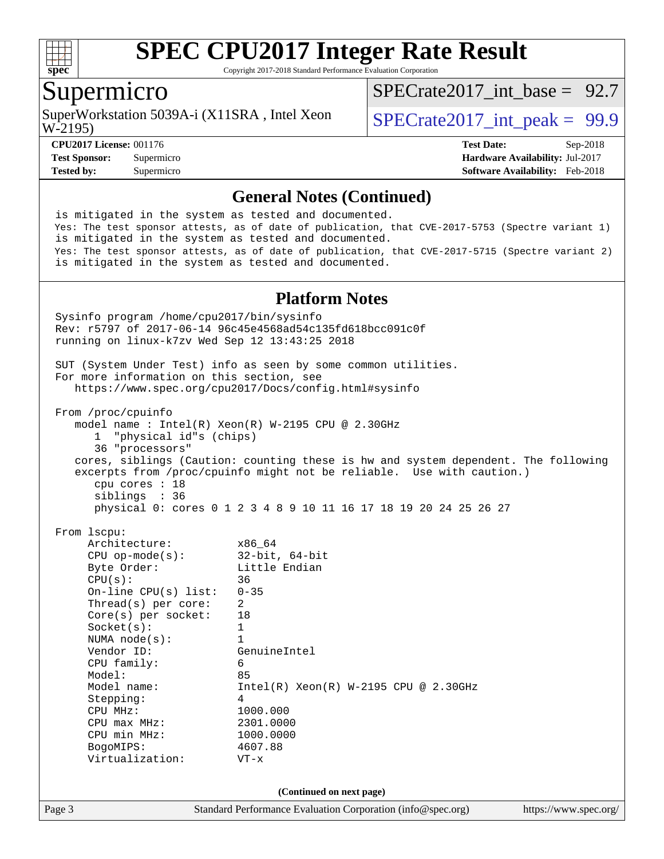

Copyright 2017-2018 Standard Performance Evaluation Corporation

# Supermicro

SuperWorkstation 5039A-i (X11SRA, Intel Xeon  $\vert$  SPECrate2017 int peak = 99.9

SPECrate2017 int\_base =  $92.7$ 

W-2195)

**[Tested by:](http://www.spec.org/auto/cpu2017/Docs/result-fields.html#Testedby)** Supermicro **[Software Availability:](http://www.spec.org/auto/cpu2017/Docs/result-fields.html#SoftwareAvailability)** Feb-2018

**[CPU2017 License:](http://www.spec.org/auto/cpu2017/Docs/result-fields.html#CPU2017License)** 001176 **[Test Date:](http://www.spec.org/auto/cpu2017/Docs/result-fields.html#TestDate)** Sep-2018 **[Test Sponsor:](http://www.spec.org/auto/cpu2017/Docs/result-fields.html#TestSponsor)** Supermicro **[Hardware Availability:](http://www.spec.org/auto/cpu2017/Docs/result-fields.html#HardwareAvailability)** Jul-2017

#### **[General Notes \(Continued\)](http://www.spec.org/auto/cpu2017/Docs/result-fields.html#GeneralNotes)**

 is mitigated in the system as tested and documented. Yes: The test sponsor attests, as of date of publication, that CVE-2017-5753 (Spectre variant 1) is mitigated in the system as tested and documented. Yes: The test sponsor attests, as of date of publication, that CVE-2017-5715 (Spectre variant 2) is mitigated in the system as tested and documented.

#### **[Platform Notes](http://www.spec.org/auto/cpu2017/Docs/result-fields.html#PlatformNotes)**

Page 3 Standard Performance Evaluation Corporation [\(info@spec.org\)](mailto:info@spec.org) <https://www.spec.org/> Sysinfo program /home/cpu2017/bin/sysinfo Rev: r5797 of 2017-06-14 96c45e4568ad54c135fd618bcc091c0f running on linux-k7zv Wed Sep 12 13:43:25 2018 SUT (System Under Test) info as seen by some common utilities. For more information on this section, see <https://www.spec.org/cpu2017/Docs/config.html#sysinfo> From /proc/cpuinfo model name : Intel(R) Xeon(R) W-2195 CPU @ 2.30GHz 1 "physical id"s (chips) 36 "processors" cores, siblings (Caution: counting these is hw and system dependent. The following excerpts from /proc/cpuinfo might not be reliable. Use with caution.) cpu cores : 18 siblings : 36 physical 0: cores 0 1 2 3 4 8 9 10 11 16 17 18 19 20 24 25 26 27 From lscpu: Architecture: x86\_64 CPU op-mode(s): 32-bit, 64-bit Byte Order: Little Endian  $CPU(s):$  36 On-line CPU(s) list: 0-35 Thread(s) per core: 2 Core(s) per socket: 18 Socket(s): 1 NUMA node(s): 1 Vendor ID: GenuineIntel CPU family: 6 Model: 85 Model name: Intel(R) Xeon(R) W-2195 CPU @ 2.30GHz Stepping: 4 CPU MHz: 1000.000 CPU max MHz: 2301.0000 CPU min MHz: 1000.0000 BogoMIPS: 4607.88 Virtualization: VT-x **(Continued on next page)**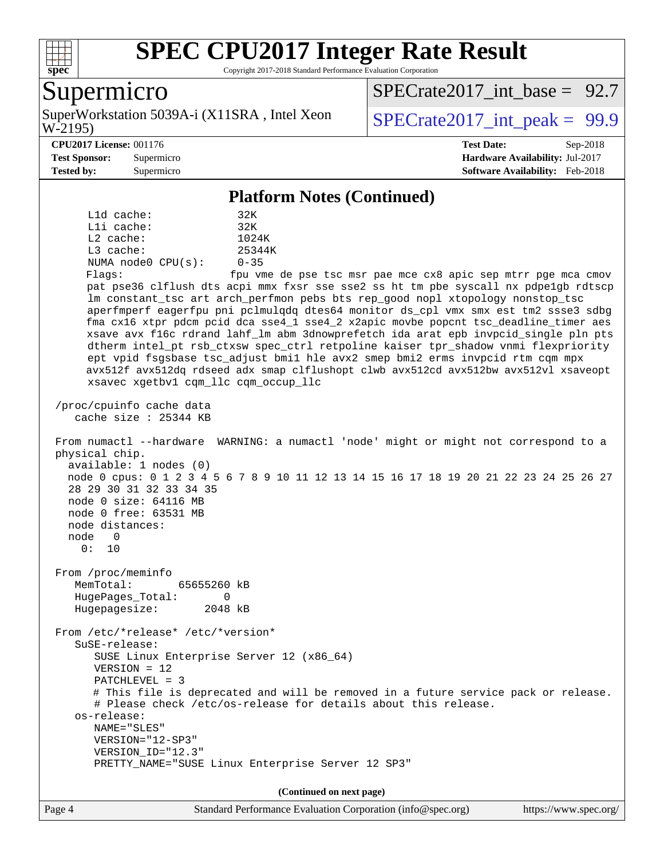

Copyright 2017-2018 Standard Performance Evaluation Corporation

### Supermicro

W-2195) SuperWorkstation 5039A-i (X11SRA, Intel Xeon  $\vert$  SPECrate2017 int peak = 99.9

SPECrate2017 int\_base =  $92.7$ 

**[Test Sponsor:](http://www.spec.org/auto/cpu2017/Docs/result-fields.html#TestSponsor)** Supermicro **[Hardware Availability:](http://www.spec.org/auto/cpu2017/Docs/result-fields.html#HardwareAvailability)** Jul-2017

**[CPU2017 License:](http://www.spec.org/auto/cpu2017/Docs/result-fields.html#CPU2017License)** 001176 **[Test Date:](http://www.spec.org/auto/cpu2017/Docs/result-fields.html#TestDate)** Sep-2018

**[Tested by:](http://www.spec.org/auto/cpu2017/Docs/result-fields.html#Testedby)** Supermicro **[Software Availability:](http://www.spec.org/auto/cpu2017/Docs/result-fields.html#SoftwareAvailability)** Feb-2018

#### **[Platform Notes \(Continued\)](http://www.spec.org/auto/cpu2017/Docs/result-fields.html#PlatformNotes)**

 L1d cache: 32K L1i cache: 32K L2 cache: 1024K L3 cache: 25344K NUMA node0 CPU(s): 0-35 Flags: fpu vme de pse tsc msr pae mce cx8 apic sep mtrr pge mca cmov pat pse36 clflush dts acpi mmx fxsr sse sse2 ss ht tm pbe syscall nx pdpe1gb rdtscp lm constant\_tsc art arch\_perfmon pebs bts rep\_good nopl xtopology nonstop\_tsc aperfmperf eagerfpu pni pclmulqdq dtes64 monitor ds\_cpl vmx smx est tm2 ssse3 sdbg fma cx16 xtpr pdcm pcid dca sse4\_1 sse4\_2 x2apic movbe popcnt tsc\_deadline\_timer aes xsave avx f16c rdrand lahf\_lm abm 3dnowprefetch ida arat epb invpcid\_single pln pts dtherm intel\_pt rsb\_ctxsw spec\_ctrl retpoline kaiser tpr\_shadow vnmi flexpriority ept vpid fsgsbase tsc\_adjust bmi1 hle avx2 smep bmi2 erms invpcid rtm cqm mpx avx512f avx512dq rdseed adx smap clflushopt clwb avx512cd avx512bw avx512vl xsaveopt xsavec xgetbv1 cqm\_llc cqm\_occup\_llc /proc/cpuinfo cache data cache size : 25344 KB From numactl --hardware WARNING: a numactl 'node' might or might not correspond to a physical chip. available: 1 nodes (0) node 0 cpus: 0 1 2 3 4 5 6 7 8 9 10 11 12 13 14 15 16 17 18 19 20 21 22 23 24 25 26 27 28 29 30 31 32 33 34 35 node 0 size: 64116 MB node 0 free: 63531 MB node distances: node 0 0: 10 From /proc/meminfo MemTotal: 65655260 kB HugePages\_Total: 0 Hugepagesize: 2048 kB From /etc/\*release\* /etc/\*version\* SuSE-release: SUSE Linux Enterprise Server 12 (x86\_64) VERSION = 12 PATCHLEVEL = 3 # This file is deprecated and will be removed in a future service pack or release. # Please check /etc/os-release for details about this release. os-release: NAME="SLES" VERSION="12-SP3" VERSION\_ID="12.3" PRETTY\_NAME="SUSE Linux Enterprise Server 12 SP3" **(Continued on next page)**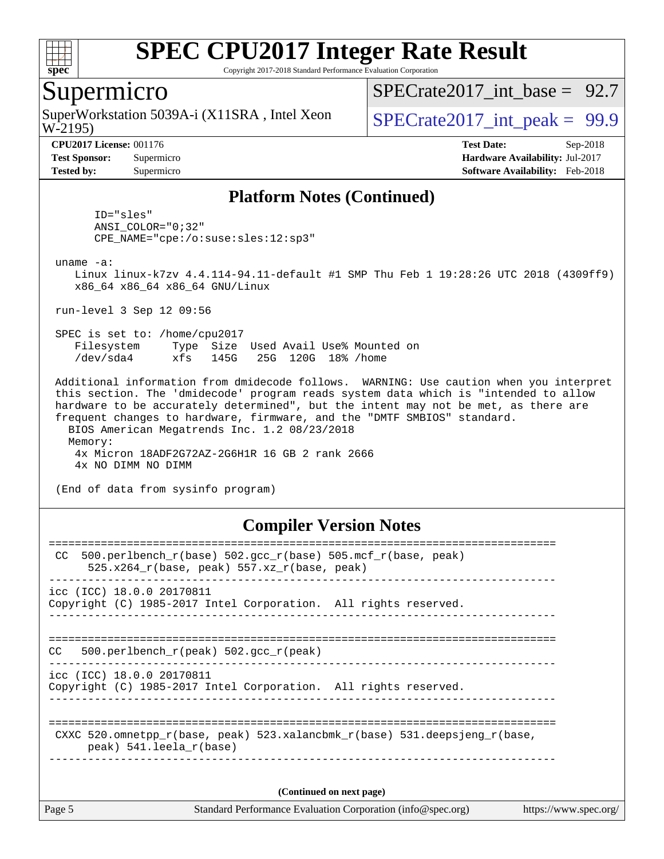

Copyright 2017-2018 Standard Performance Evaluation Corporation

### Supermicro

W-2195) SuperWorkstation 5039A-i (X11SRA, Intel Xeon  $\vert$  SPECrate2017 int peak = 99.9

SPECrate2017 int\_base =  $92.7$ 

**[CPU2017 License:](http://www.spec.org/auto/cpu2017/Docs/result-fields.html#CPU2017License)** 001176 **[Test Date:](http://www.spec.org/auto/cpu2017/Docs/result-fields.html#TestDate)** Sep-2018 **[Test Sponsor:](http://www.spec.org/auto/cpu2017/Docs/result-fields.html#TestSponsor)** Supermicro **[Hardware Availability:](http://www.spec.org/auto/cpu2017/Docs/result-fields.html#HardwareAvailability)** Jul-2017 **[Tested by:](http://www.spec.org/auto/cpu2017/Docs/result-fields.html#Testedby)** Supermicro **[Software Availability:](http://www.spec.org/auto/cpu2017/Docs/result-fields.html#SoftwareAvailability)** Feb-2018

#### **[Platform Notes \(Continued\)](http://www.spec.org/auto/cpu2017/Docs/result-fields.html#PlatformNotes)**

 ID="sles" ANSI\_COLOR="0;32" CPE\_NAME="cpe:/o:suse:sles:12:sp3"

uname -a:

 Linux linux-k7zv 4.4.114-94.11-default #1 SMP Thu Feb 1 19:28:26 UTC 2018 (4309ff9) x86\_64 x86\_64 x86\_64 GNU/Linux

run-level 3 Sep 12 09:56

 SPEC is set to: /home/cpu2017 Filesystem Type Size Used Avail Use% Mounted on /dev/sda4 xfs 145G 25G 120G 18% /home

 Additional information from dmidecode follows. WARNING: Use caution when you interpret this section. The 'dmidecode' program reads system data which is "intended to allow hardware to be accurately determined", but the intent may not be met, as there are frequent changes to hardware, firmware, and the "DMTF SMBIOS" standard. BIOS American Megatrends Inc. 1.2 08/23/2018 Memory:

 4x Micron 18ADF2G72AZ-2G6H1R 16 GB 2 rank 2666 4x NO DIMM NO DIMM

(End of data from sysinfo program)

#### **[Compiler Version Notes](http://www.spec.org/auto/cpu2017/Docs/result-fields.html#CompilerVersionNotes)**

| Page 5 | Standard Performance Evaluation Corporation (info@spec.org)                                                        | https://www.spec.org/ |
|--------|--------------------------------------------------------------------------------------------------------------------|-----------------------|
|        | (Continued on next page)                                                                                           |                       |
|        | CXXC 520.omnetpp $r(base, peak)$ 523.xalancbmk $r(base)$ 531.deepsjeng $r(base)$<br>peak) 541. leela r(base)       |                       |
|        | icc (ICC) 18.0.0 20170811<br>Copyright (C) 1985-2017 Intel Corporation. All rights reserved.                       |                       |
| CC.    | 500.perlbench $r(\text{peak})$ 502.gcc $r(\text{peak})$                                                            |                       |
|        | icc (ICC) 18.0.0 20170811<br>Copyright (C) 1985-2017 Intel Corporation. All rights reserved.                       |                       |
| CC.    | 500.perlbench $r(base)$ 502.qcc $r(base)$ 505.mcf $r(base, peak)$<br>$525.x264_r(base, peak) 557.xz_r(base, peak)$ |                       |
|        |                                                                                                                    |                       |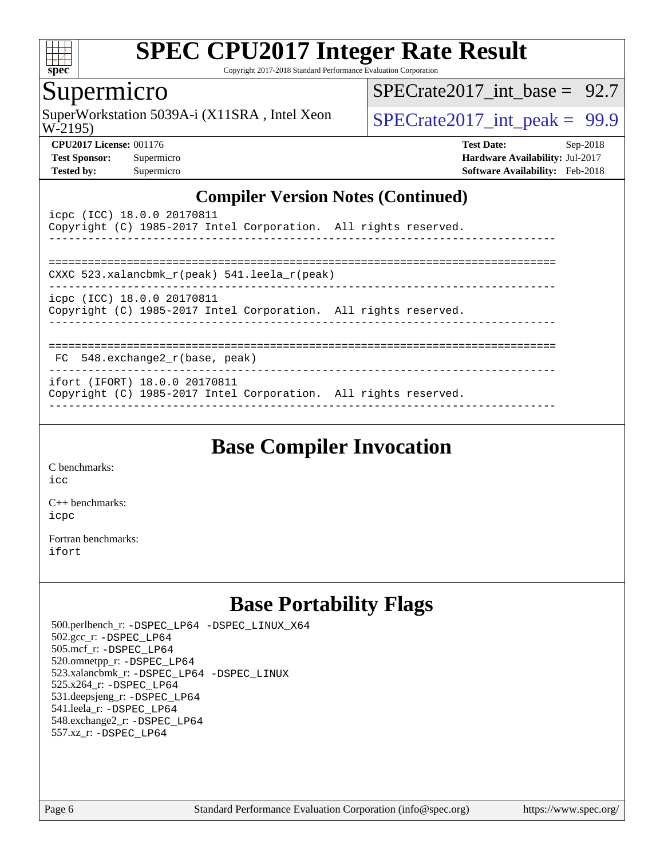

Copyright 2017-2018 Standard Performance Evaluation Corporation

### Supermicro

W-2195) SuperWorkstation 5039A-i (X11SRA, Intel Xeon  $SPECrate2017\_int\_peak = 99.9$ 

SPECrate2017 int\_base =  $92.7$ 

**[CPU2017 License:](http://www.spec.org/auto/cpu2017/Docs/result-fields.html#CPU2017License)** 001176 **[Test Date:](http://www.spec.org/auto/cpu2017/Docs/result-fields.html#TestDate)** Sep-2018 **[Test Sponsor:](http://www.spec.org/auto/cpu2017/Docs/result-fields.html#TestSponsor)** Supermicro **[Hardware Availability:](http://www.spec.org/auto/cpu2017/Docs/result-fields.html#HardwareAvailability)** Jul-2017 **[Tested by:](http://www.spec.org/auto/cpu2017/Docs/result-fields.html#Testedby)** Supermicro **[Software Availability:](http://www.spec.org/auto/cpu2017/Docs/result-fields.html#SoftwareAvailability)** Feb-2018

### **[Compiler Version Notes \(Continued\)](http://www.spec.org/auto/cpu2017/Docs/result-fields.html#CompilerVersionNotes)**

| icpc (ICC) 18.0.0 20170811<br>Copyright (C) 1985-2017 Intel Corporation. All rights reserved.    |  |
|--------------------------------------------------------------------------------------------------|--|
|                                                                                                  |  |
| CXXC 523.xalancbmk r(peak) 541.leela r(peak)                                                     |  |
| icpc (ICC) 18.0.0 20170811<br>Copyright (C) 1985-2017 Intel Corporation. All rights reserved.    |  |
| $FC$ 548. exchange2 $r(base, peak)$                                                              |  |
| ifort (IFORT) 18.0.0 20170811<br>Copyright (C) 1985-2017 Intel Corporation. All rights reserved. |  |

------------------------------------------------------------------------------

**[Base Compiler Invocation](http://www.spec.org/auto/cpu2017/Docs/result-fields.html#BaseCompilerInvocation)**

[C benchmarks](http://www.spec.org/auto/cpu2017/Docs/result-fields.html#Cbenchmarks): [icc](http://www.spec.org/cpu2017/results/res2018q4/cpu2017-20181002-09075.flags.html#user_CCbase_intel_icc_18.0_66fc1ee009f7361af1fbd72ca7dcefbb700085f36577c54f309893dd4ec40d12360134090235512931783d35fd58c0460139e722d5067c5574d8eaf2b3e37e92)

[C++ benchmarks:](http://www.spec.org/auto/cpu2017/Docs/result-fields.html#CXXbenchmarks) [icpc](http://www.spec.org/cpu2017/results/res2018q4/cpu2017-20181002-09075.flags.html#user_CXXbase_intel_icpc_18.0_c510b6838c7f56d33e37e94d029a35b4a7bccf4766a728ee175e80a419847e808290a9b78be685c44ab727ea267ec2f070ec5dc83b407c0218cded6866a35d07)

[Fortran benchmarks](http://www.spec.org/auto/cpu2017/Docs/result-fields.html#Fortranbenchmarks): [ifort](http://www.spec.org/cpu2017/results/res2018q4/cpu2017-20181002-09075.flags.html#user_FCbase_intel_ifort_18.0_8111460550e3ca792625aed983ce982f94888b8b503583aa7ba2b8303487b4d8a21a13e7191a45c5fd58ff318f48f9492884d4413fa793fd88dd292cad7027ca)

# **[Base Portability Flags](http://www.spec.org/auto/cpu2017/Docs/result-fields.html#BasePortabilityFlags)**

 500.perlbench\_r: [-DSPEC\\_LP64](http://www.spec.org/cpu2017/results/res2018q4/cpu2017-20181002-09075.flags.html#b500.perlbench_r_basePORTABILITY_DSPEC_LP64) [-DSPEC\\_LINUX\\_X64](http://www.spec.org/cpu2017/results/res2018q4/cpu2017-20181002-09075.flags.html#b500.perlbench_r_baseCPORTABILITY_DSPEC_LINUX_X64) 502.gcc\_r: [-DSPEC\\_LP64](http://www.spec.org/cpu2017/results/res2018q4/cpu2017-20181002-09075.flags.html#suite_basePORTABILITY502_gcc_r_DSPEC_LP64) 505.mcf\_r: [-DSPEC\\_LP64](http://www.spec.org/cpu2017/results/res2018q4/cpu2017-20181002-09075.flags.html#suite_basePORTABILITY505_mcf_r_DSPEC_LP64) 520.omnetpp\_r: [-DSPEC\\_LP64](http://www.spec.org/cpu2017/results/res2018q4/cpu2017-20181002-09075.flags.html#suite_basePORTABILITY520_omnetpp_r_DSPEC_LP64) 523.xalancbmk\_r: [-DSPEC\\_LP64](http://www.spec.org/cpu2017/results/res2018q4/cpu2017-20181002-09075.flags.html#suite_basePORTABILITY523_xalancbmk_r_DSPEC_LP64) [-DSPEC\\_LINUX](http://www.spec.org/cpu2017/results/res2018q4/cpu2017-20181002-09075.flags.html#b523.xalancbmk_r_baseCXXPORTABILITY_DSPEC_LINUX) 525.x264\_r: [-DSPEC\\_LP64](http://www.spec.org/cpu2017/results/res2018q4/cpu2017-20181002-09075.flags.html#suite_basePORTABILITY525_x264_r_DSPEC_LP64) 531.deepsjeng\_r: [-DSPEC\\_LP64](http://www.spec.org/cpu2017/results/res2018q4/cpu2017-20181002-09075.flags.html#suite_basePORTABILITY531_deepsjeng_r_DSPEC_LP64) 541.leela\_r: [-DSPEC\\_LP64](http://www.spec.org/cpu2017/results/res2018q4/cpu2017-20181002-09075.flags.html#suite_basePORTABILITY541_leela_r_DSPEC_LP64) 548.exchange2\_r: [-DSPEC\\_LP64](http://www.spec.org/cpu2017/results/res2018q4/cpu2017-20181002-09075.flags.html#suite_basePORTABILITY548_exchange2_r_DSPEC_LP64) 557.xz\_r: [-DSPEC\\_LP64](http://www.spec.org/cpu2017/results/res2018q4/cpu2017-20181002-09075.flags.html#suite_basePORTABILITY557_xz_r_DSPEC_LP64)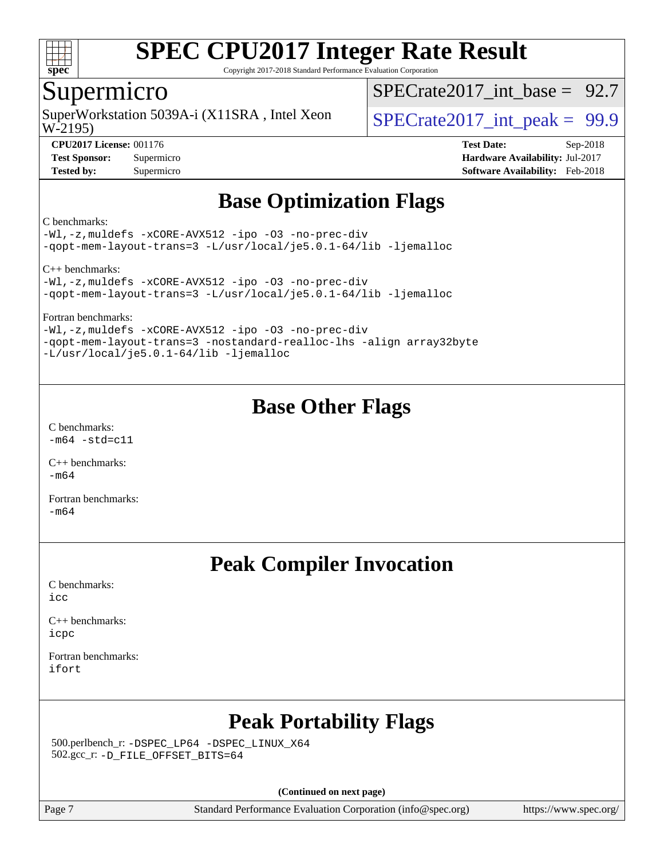

Copyright 2017-2018 Standard Performance Evaluation Corporation

### Supermicro

W-2195) SuperWorkstation 5039A-i (X11SRA, Intel Xeon  $\vert$  SPECrate2017 int peak = 99.9

SPECrate2017 int\_base =  $92.7$ 

**[CPU2017 License:](http://www.spec.org/auto/cpu2017/Docs/result-fields.html#CPU2017License)** 001176 **[Test Date:](http://www.spec.org/auto/cpu2017/Docs/result-fields.html#TestDate)** Sep-2018 **[Test Sponsor:](http://www.spec.org/auto/cpu2017/Docs/result-fields.html#TestSponsor)** Supermicro **[Hardware Availability:](http://www.spec.org/auto/cpu2017/Docs/result-fields.html#HardwareAvailability)** Jul-2017 **[Tested by:](http://www.spec.org/auto/cpu2017/Docs/result-fields.html#Testedby)** Supermicro **[Software Availability:](http://www.spec.org/auto/cpu2017/Docs/result-fields.html#SoftwareAvailability)** Feb-2018

# **[Base Optimization Flags](http://www.spec.org/auto/cpu2017/Docs/result-fields.html#BaseOptimizationFlags)**

#### [C benchmarks:](http://www.spec.org/auto/cpu2017/Docs/result-fields.html#Cbenchmarks)

[-Wl,-z,muldefs](http://www.spec.org/cpu2017/results/res2018q4/cpu2017-20181002-09075.flags.html#user_CCbase_link_force_multiple1_b4cbdb97b34bdee9ceefcfe54f4c8ea74255f0b02a4b23e853cdb0e18eb4525ac79b5a88067c842dd0ee6996c24547a27a4b99331201badda8798ef8a743f577) [-xCORE-AVX512](http://www.spec.org/cpu2017/results/res2018q4/cpu2017-20181002-09075.flags.html#user_CCbase_f-xCORE-AVX512) [-ipo](http://www.spec.org/cpu2017/results/res2018q4/cpu2017-20181002-09075.flags.html#user_CCbase_f-ipo) [-O3](http://www.spec.org/cpu2017/results/res2018q4/cpu2017-20181002-09075.flags.html#user_CCbase_f-O3) [-no-prec-div](http://www.spec.org/cpu2017/results/res2018q4/cpu2017-20181002-09075.flags.html#user_CCbase_f-no-prec-div) [-qopt-mem-layout-trans=3](http://www.spec.org/cpu2017/results/res2018q4/cpu2017-20181002-09075.flags.html#user_CCbase_f-qopt-mem-layout-trans_de80db37974c74b1f0e20d883f0b675c88c3b01e9d123adea9b28688d64333345fb62bc4a798493513fdb68f60282f9a726aa07f478b2f7113531aecce732043) [-L/usr/local/je5.0.1-64/lib](http://www.spec.org/cpu2017/results/res2018q4/cpu2017-20181002-09075.flags.html#user_CCbase_jemalloc_link_path64_4b10a636b7bce113509b17f3bd0d6226c5fb2346b9178c2d0232c14f04ab830f976640479e5c33dc2bcbbdad86ecfb6634cbbd4418746f06f368b512fced5394) [-ljemalloc](http://www.spec.org/cpu2017/results/res2018q4/cpu2017-20181002-09075.flags.html#user_CCbase_jemalloc_link_lib_d1249b907c500fa1c0672f44f562e3d0f79738ae9e3c4a9c376d49f265a04b9c99b167ecedbf6711b3085be911c67ff61f150a17b3472be731631ba4d0471706)

[C++ benchmarks](http://www.spec.org/auto/cpu2017/Docs/result-fields.html#CXXbenchmarks):

[-Wl,-z,muldefs](http://www.spec.org/cpu2017/results/res2018q4/cpu2017-20181002-09075.flags.html#user_CXXbase_link_force_multiple1_b4cbdb97b34bdee9ceefcfe54f4c8ea74255f0b02a4b23e853cdb0e18eb4525ac79b5a88067c842dd0ee6996c24547a27a4b99331201badda8798ef8a743f577) [-xCORE-AVX512](http://www.spec.org/cpu2017/results/res2018q4/cpu2017-20181002-09075.flags.html#user_CXXbase_f-xCORE-AVX512) [-ipo](http://www.spec.org/cpu2017/results/res2018q4/cpu2017-20181002-09075.flags.html#user_CXXbase_f-ipo) [-O3](http://www.spec.org/cpu2017/results/res2018q4/cpu2017-20181002-09075.flags.html#user_CXXbase_f-O3) [-no-prec-div](http://www.spec.org/cpu2017/results/res2018q4/cpu2017-20181002-09075.flags.html#user_CXXbase_f-no-prec-div) [-qopt-mem-layout-trans=3](http://www.spec.org/cpu2017/results/res2018q4/cpu2017-20181002-09075.flags.html#user_CXXbase_f-qopt-mem-layout-trans_de80db37974c74b1f0e20d883f0b675c88c3b01e9d123adea9b28688d64333345fb62bc4a798493513fdb68f60282f9a726aa07f478b2f7113531aecce732043) [-L/usr/local/je5.0.1-64/lib](http://www.spec.org/cpu2017/results/res2018q4/cpu2017-20181002-09075.flags.html#user_CXXbase_jemalloc_link_path64_4b10a636b7bce113509b17f3bd0d6226c5fb2346b9178c2d0232c14f04ab830f976640479e5c33dc2bcbbdad86ecfb6634cbbd4418746f06f368b512fced5394) [-ljemalloc](http://www.spec.org/cpu2017/results/res2018q4/cpu2017-20181002-09075.flags.html#user_CXXbase_jemalloc_link_lib_d1249b907c500fa1c0672f44f562e3d0f79738ae9e3c4a9c376d49f265a04b9c99b167ecedbf6711b3085be911c67ff61f150a17b3472be731631ba4d0471706)

[Fortran benchmarks:](http://www.spec.org/auto/cpu2017/Docs/result-fields.html#Fortranbenchmarks)

[-Wl,-z,muldefs](http://www.spec.org/cpu2017/results/res2018q4/cpu2017-20181002-09075.flags.html#user_FCbase_link_force_multiple1_b4cbdb97b34bdee9ceefcfe54f4c8ea74255f0b02a4b23e853cdb0e18eb4525ac79b5a88067c842dd0ee6996c24547a27a4b99331201badda8798ef8a743f577) [-xCORE-AVX512](http://www.spec.org/cpu2017/results/res2018q4/cpu2017-20181002-09075.flags.html#user_FCbase_f-xCORE-AVX512) [-ipo](http://www.spec.org/cpu2017/results/res2018q4/cpu2017-20181002-09075.flags.html#user_FCbase_f-ipo) [-O3](http://www.spec.org/cpu2017/results/res2018q4/cpu2017-20181002-09075.flags.html#user_FCbase_f-O3) [-no-prec-div](http://www.spec.org/cpu2017/results/res2018q4/cpu2017-20181002-09075.flags.html#user_FCbase_f-no-prec-div) [-qopt-mem-layout-trans=3](http://www.spec.org/cpu2017/results/res2018q4/cpu2017-20181002-09075.flags.html#user_FCbase_f-qopt-mem-layout-trans_de80db37974c74b1f0e20d883f0b675c88c3b01e9d123adea9b28688d64333345fb62bc4a798493513fdb68f60282f9a726aa07f478b2f7113531aecce732043) [-nostandard-realloc-lhs](http://www.spec.org/cpu2017/results/res2018q4/cpu2017-20181002-09075.flags.html#user_FCbase_f_2003_std_realloc_82b4557e90729c0f113870c07e44d33d6f5a304b4f63d4c15d2d0f1fab99f5daaed73bdb9275d9ae411527f28b936061aa8b9c8f2d63842963b95c9dd6426b8a) [-align array32byte](http://www.spec.org/cpu2017/results/res2018q4/cpu2017-20181002-09075.flags.html#user_FCbase_align_array32byte_b982fe038af199962ba9a80c053b8342c548c85b40b8e86eb3cc33dee0d7986a4af373ac2d51c3f7cf710a18d62fdce2948f201cd044323541f22fc0fffc51b6) [-L/usr/local/je5.0.1-64/lib](http://www.spec.org/cpu2017/results/res2018q4/cpu2017-20181002-09075.flags.html#user_FCbase_jemalloc_link_path64_4b10a636b7bce113509b17f3bd0d6226c5fb2346b9178c2d0232c14f04ab830f976640479e5c33dc2bcbbdad86ecfb6634cbbd4418746f06f368b512fced5394) [-ljemalloc](http://www.spec.org/cpu2017/results/res2018q4/cpu2017-20181002-09075.flags.html#user_FCbase_jemalloc_link_lib_d1249b907c500fa1c0672f44f562e3d0f79738ae9e3c4a9c376d49f265a04b9c99b167ecedbf6711b3085be911c67ff61f150a17b3472be731631ba4d0471706)

# **[Base Other Flags](http://www.spec.org/auto/cpu2017/Docs/result-fields.html#BaseOtherFlags)**

[C benchmarks](http://www.spec.org/auto/cpu2017/Docs/result-fields.html#Cbenchmarks):  $-m64 - std= c11$  $-m64 - std= c11$ 

[C++ benchmarks:](http://www.spec.org/auto/cpu2017/Docs/result-fields.html#CXXbenchmarks) [-m64](http://www.spec.org/cpu2017/results/res2018q4/cpu2017-20181002-09075.flags.html#user_CXXbase_intel_intel64_18.0_af43caccfc8ded86e7699f2159af6efc7655f51387b94da716254467f3c01020a5059329e2569e4053f409e7c9202a7efc638f7a6d1ffb3f52dea4a3e31d82ab)

[Fortran benchmarks](http://www.spec.org/auto/cpu2017/Docs/result-fields.html#Fortranbenchmarks): [-m64](http://www.spec.org/cpu2017/results/res2018q4/cpu2017-20181002-09075.flags.html#user_FCbase_intel_intel64_18.0_af43caccfc8ded86e7699f2159af6efc7655f51387b94da716254467f3c01020a5059329e2569e4053f409e7c9202a7efc638f7a6d1ffb3f52dea4a3e31d82ab)

# **[Peak Compiler Invocation](http://www.spec.org/auto/cpu2017/Docs/result-fields.html#PeakCompilerInvocation)**

[C benchmarks](http://www.spec.org/auto/cpu2017/Docs/result-fields.html#Cbenchmarks): [icc](http://www.spec.org/cpu2017/results/res2018q4/cpu2017-20181002-09075.flags.html#user_CCpeak_intel_icc_18.0_66fc1ee009f7361af1fbd72ca7dcefbb700085f36577c54f309893dd4ec40d12360134090235512931783d35fd58c0460139e722d5067c5574d8eaf2b3e37e92)

[C++ benchmarks:](http://www.spec.org/auto/cpu2017/Docs/result-fields.html#CXXbenchmarks) [icpc](http://www.spec.org/cpu2017/results/res2018q4/cpu2017-20181002-09075.flags.html#user_CXXpeak_intel_icpc_18.0_c510b6838c7f56d33e37e94d029a35b4a7bccf4766a728ee175e80a419847e808290a9b78be685c44ab727ea267ec2f070ec5dc83b407c0218cded6866a35d07)

[Fortran benchmarks](http://www.spec.org/auto/cpu2017/Docs/result-fields.html#Fortranbenchmarks): [ifort](http://www.spec.org/cpu2017/results/res2018q4/cpu2017-20181002-09075.flags.html#user_FCpeak_intel_ifort_18.0_8111460550e3ca792625aed983ce982f94888b8b503583aa7ba2b8303487b4d8a21a13e7191a45c5fd58ff318f48f9492884d4413fa793fd88dd292cad7027ca)

# **[Peak Portability Flags](http://www.spec.org/auto/cpu2017/Docs/result-fields.html#PeakPortabilityFlags)**

 500.perlbench\_r: [-DSPEC\\_LP64](http://www.spec.org/cpu2017/results/res2018q4/cpu2017-20181002-09075.flags.html#b500.perlbench_r_peakPORTABILITY_DSPEC_LP64) [-DSPEC\\_LINUX\\_X64](http://www.spec.org/cpu2017/results/res2018q4/cpu2017-20181002-09075.flags.html#b500.perlbench_r_peakCPORTABILITY_DSPEC_LINUX_X64) 502.gcc\_r: [-D\\_FILE\\_OFFSET\\_BITS=64](http://www.spec.org/cpu2017/results/res2018q4/cpu2017-20181002-09075.flags.html#user_peakPORTABILITY502_gcc_r_file_offset_bits_64_5ae949a99b284ddf4e95728d47cb0843d81b2eb0e18bdfe74bbf0f61d0b064f4bda2f10ea5eb90e1dcab0e84dbc592acfc5018bc955c18609f94ddb8d550002c)

**(Continued on next page)**

Page 7 Standard Performance Evaluation Corporation [\(info@spec.org\)](mailto:info@spec.org) <https://www.spec.org/>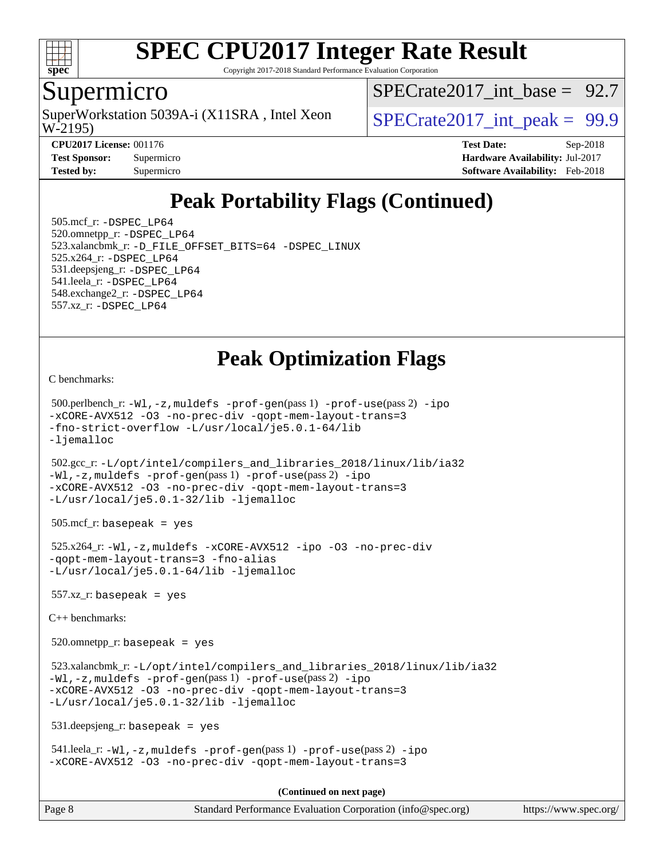

Copyright 2017-2018 Standard Performance Evaluation Corporation

### Supermicro

W-2195) SuperWorkstation 5039A-i (X11SRA, Intel Xeon  $\vert$  SPECrate2017 int peak = 99.9

SPECrate2017 int\_base =  $92.7$ 

**[CPU2017 License:](http://www.spec.org/auto/cpu2017/Docs/result-fields.html#CPU2017License)** 001176 **[Test Date:](http://www.spec.org/auto/cpu2017/Docs/result-fields.html#TestDate)** Sep-2018 **[Test Sponsor:](http://www.spec.org/auto/cpu2017/Docs/result-fields.html#TestSponsor)** Supermicro **[Hardware Availability:](http://www.spec.org/auto/cpu2017/Docs/result-fields.html#HardwareAvailability)** Jul-2017 **[Tested by:](http://www.spec.org/auto/cpu2017/Docs/result-fields.html#Testedby)** Supermicro **[Software Availability:](http://www.spec.org/auto/cpu2017/Docs/result-fields.html#SoftwareAvailability)** Feb-2018

# **[Peak Portability Flags \(Continued\)](http://www.spec.org/auto/cpu2017/Docs/result-fields.html#PeakPortabilityFlags)**

 505.mcf\_r: [-DSPEC\\_LP64](http://www.spec.org/cpu2017/results/res2018q4/cpu2017-20181002-09075.flags.html#suite_peakPORTABILITY505_mcf_r_DSPEC_LP64) 520.omnetpp\_r: [-DSPEC\\_LP64](http://www.spec.org/cpu2017/results/res2018q4/cpu2017-20181002-09075.flags.html#suite_peakPORTABILITY520_omnetpp_r_DSPEC_LP64) 523.xalancbmk\_r: [-D\\_FILE\\_OFFSET\\_BITS=64](http://www.spec.org/cpu2017/results/res2018q4/cpu2017-20181002-09075.flags.html#user_peakPORTABILITY523_xalancbmk_r_file_offset_bits_64_5ae949a99b284ddf4e95728d47cb0843d81b2eb0e18bdfe74bbf0f61d0b064f4bda2f10ea5eb90e1dcab0e84dbc592acfc5018bc955c18609f94ddb8d550002c) [-DSPEC\\_LINUX](http://www.spec.org/cpu2017/results/res2018q4/cpu2017-20181002-09075.flags.html#b523.xalancbmk_r_peakCXXPORTABILITY_DSPEC_LINUX) 525.x264\_r: [-DSPEC\\_LP64](http://www.spec.org/cpu2017/results/res2018q4/cpu2017-20181002-09075.flags.html#suite_peakPORTABILITY525_x264_r_DSPEC_LP64) 531.deepsjeng\_r: [-DSPEC\\_LP64](http://www.spec.org/cpu2017/results/res2018q4/cpu2017-20181002-09075.flags.html#suite_peakPORTABILITY531_deepsjeng_r_DSPEC_LP64) 541.leela\_r: [-DSPEC\\_LP64](http://www.spec.org/cpu2017/results/res2018q4/cpu2017-20181002-09075.flags.html#suite_peakPORTABILITY541_leela_r_DSPEC_LP64) 548.exchange2\_r: [-DSPEC\\_LP64](http://www.spec.org/cpu2017/results/res2018q4/cpu2017-20181002-09075.flags.html#suite_peakPORTABILITY548_exchange2_r_DSPEC_LP64) 557.xz\_r: [-DSPEC\\_LP64](http://www.spec.org/cpu2017/results/res2018q4/cpu2017-20181002-09075.flags.html#suite_peakPORTABILITY557_xz_r_DSPEC_LP64)

# **[Peak Optimization Flags](http://www.spec.org/auto/cpu2017/Docs/result-fields.html#PeakOptimizationFlags)**

[C benchmarks](http://www.spec.org/auto/cpu2017/Docs/result-fields.html#Cbenchmarks):

```
 500.perlbench_r: -Wl,-z,muldefs -prof-gen(pass 1) -prof-use(pass 2) -ipo
-xCORE-AVX512 -O3 -no-prec-div -qopt-mem-layout-trans=3
-fno-strict-overflow -L/usr/local/je5.0.1-64/lib
-ljemalloc
```
 502.gcc\_r: [-L/opt/intel/compilers\\_and\\_libraries\\_2018/linux/lib/ia32](http://www.spec.org/cpu2017/results/res2018q4/cpu2017-20181002-09075.flags.html#user_peakCCLD502_gcc_r_Enable-32bit-runtime_af243bdb1d79e4c7a4f720bf8275e627de2ecd461de63307bc14cef0633fde3cd7bb2facb32dcc8be9566045fb55d40ce2b72b725f73827aa7833441b71b9343) [-Wl,-z,muldefs](http://www.spec.org/cpu2017/results/res2018q4/cpu2017-20181002-09075.flags.html#user_peakEXTRA_LDFLAGS502_gcc_r_link_force_multiple1_b4cbdb97b34bdee9ceefcfe54f4c8ea74255f0b02a4b23e853cdb0e18eb4525ac79b5a88067c842dd0ee6996c24547a27a4b99331201badda8798ef8a743f577) [-prof-gen](http://www.spec.org/cpu2017/results/res2018q4/cpu2017-20181002-09075.flags.html#user_peakPASS1_CFLAGSPASS1_LDFLAGS502_gcc_r_prof_gen_5aa4926d6013ddb2a31985c654b3eb18169fc0c6952a63635c234f711e6e63dd76e94ad52365559451ec499a2cdb89e4dc58ba4c67ef54ca681ffbe1461d6b36)(pass 1) [-prof-use](http://www.spec.org/cpu2017/results/res2018q4/cpu2017-20181002-09075.flags.html#user_peakPASS2_CFLAGSPASS2_LDFLAGS502_gcc_r_prof_use_1a21ceae95f36a2b53c25747139a6c16ca95bd9def2a207b4f0849963b97e94f5260e30a0c64f4bb623698870e679ca08317ef8150905d41bd88c6f78df73f19)(pass 2) [-ipo](http://www.spec.org/cpu2017/results/res2018q4/cpu2017-20181002-09075.flags.html#user_peakPASS1_COPTIMIZEPASS2_COPTIMIZE502_gcc_r_f-ipo) [-xCORE-AVX512](http://www.spec.org/cpu2017/results/res2018q4/cpu2017-20181002-09075.flags.html#user_peakPASS2_COPTIMIZE502_gcc_r_f-xCORE-AVX512) [-O3](http://www.spec.org/cpu2017/results/res2018q4/cpu2017-20181002-09075.flags.html#user_peakPASS1_COPTIMIZEPASS2_COPTIMIZE502_gcc_r_f-O3) [-no-prec-div](http://www.spec.org/cpu2017/results/res2018q4/cpu2017-20181002-09075.flags.html#user_peakPASS1_COPTIMIZEPASS2_COPTIMIZE502_gcc_r_f-no-prec-div) [-qopt-mem-layout-trans=3](http://www.spec.org/cpu2017/results/res2018q4/cpu2017-20181002-09075.flags.html#user_peakPASS1_COPTIMIZEPASS2_COPTIMIZE502_gcc_r_f-qopt-mem-layout-trans_de80db37974c74b1f0e20d883f0b675c88c3b01e9d123adea9b28688d64333345fb62bc4a798493513fdb68f60282f9a726aa07f478b2f7113531aecce732043) [-L/usr/local/je5.0.1-32/lib](http://www.spec.org/cpu2017/results/res2018q4/cpu2017-20181002-09075.flags.html#user_peakEXTRA_LIBS502_gcc_r_jemalloc_link_path32_e29f22e8e6c17053bbc6a0971f5a9c01a601a06bb1a59df2084b77a2fe0a2995b64fd4256feaeea39eeba3aae142e96e2b2b0a28974019c0c0c88139a84f900a) [-ljemalloc](http://www.spec.org/cpu2017/results/res2018q4/cpu2017-20181002-09075.flags.html#user_peakEXTRA_LIBS502_gcc_r_jemalloc_link_lib_d1249b907c500fa1c0672f44f562e3d0f79738ae9e3c4a9c376d49f265a04b9c99b167ecedbf6711b3085be911c67ff61f150a17b3472be731631ba4d0471706)

505.mcf\_r: basepeak = yes

 525.x264\_r: [-Wl,-z,muldefs](http://www.spec.org/cpu2017/results/res2018q4/cpu2017-20181002-09075.flags.html#user_peakEXTRA_LDFLAGS525_x264_r_link_force_multiple1_b4cbdb97b34bdee9ceefcfe54f4c8ea74255f0b02a4b23e853cdb0e18eb4525ac79b5a88067c842dd0ee6996c24547a27a4b99331201badda8798ef8a743f577) [-xCORE-AVX512](http://www.spec.org/cpu2017/results/res2018q4/cpu2017-20181002-09075.flags.html#user_peakCOPTIMIZE525_x264_r_f-xCORE-AVX512) [-ipo](http://www.spec.org/cpu2017/results/res2018q4/cpu2017-20181002-09075.flags.html#user_peakCOPTIMIZE525_x264_r_f-ipo) [-O3](http://www.spec.org/cpu2017/results/res2018q4/cpu2017-20181002-09075.flags.html#user_peakCOPTIMIZE525_x264_r_f-O3) [-no-prec-div](http://www.spec.org/cpu2017/results/res2018q4/cpu2017-20181002-09075.flags.html#user_peakCOPTIMIZE525_x264_r_f-no-prec-div) [-qopt-mem-layout-trans=3](http://www.spec.org/cpu2017/results/res2018q4/cpu2017-20181002-09075.flags.html#user_peakCOPTIMIZE525_x264_r_f-qopt-mem-layout-trans_de80db37974c74b1f0e20d883f0b675c88c3b01e9d123adea9b28688d64333345fb62bc4a798493513fdb68f60282f9a726aa07f478b2f7113531aecce732043) [-fno-alias](http://www.spec.org/cpu2017/results/res2018q4/cpu2017-20181002-09075.flags.html#user_peakEXTRA_OPTIMIZE525_x264_r_f-no-alias_77dbac10d91cbfe898fbf4a29d1b29b694089caa623bdd1baccc9957d4edbe8d106c0b357e2748a65b44fc9e83d78098bb898077f3fe92f9faf24f7bd4a07ed7) [-L/usr/local/je5.0.1-64/lib](http://www.spec.org/cpu2017/results/res2018q4/cpu2017-20181002-09075.flags.html#user_peakEXTRA_LIBS525_x264_r_jemalloc_link_path64_4b10a636b7bce113509b17f3bd0d6226c5fb2346b9178c2d0232c14f04ab830f976640479e5c33dc2bcbbdad86ecfb6634cbbd4418746f06f368b512fced5394) [-ljemalloc](http://www.spec.org/cpu2017/results/res2018q4/cpu2017-20181002-09075.flags.html#user_peakEXTRA_LIBS525_x264_r_jemalloc_link_lib_d1249b907c500fa1c0672f44f562e3d0f79738ae9e3c4a9c376d49f265a04b9c99b167ecedbf6711b3085be911c67ff61f150a17b3472be731631ba4d0471706)

557.xz\_r: basepeak = yes

[C++ benchmarks:](http://www.spec.org/auto/cpu2017/Docs/result-fields.html#CXXbenchmarks)

520.omnetpp\_r: basepeak = yes

 523.xalancbmk\_r: [-L/opt/intel/compilers\\_and\\_libraries\\_2018/linux/lib/ia32](http://www.spec.org/cpu2017/results/res2018q4/cpu2017-20181002-09075.flags.html#user_peakCXXLD523_xalancbmk_r_Enable-32bit-runtime_af243bdb1d79e4c7a4f720bf8275e627de2ecd461de63307bc14cef0633fde3cd7bb2facb32dcc8be9566045fb55d40ce2b72b725f73827aa7833441b71b9343) [-Wl,-z,muldefs](http://www.spec.org/cpu2017/results/res2018q4/cpu2017-20181002-09075.flags.html#user_peakEXTRA_LDFLAGS523_xalancbmk_r_link_force_multiple1_b4cbdb97b34bdee9ceefcfe54f4c8ea74255f0b02a4b23e853cdb0e18eb4525ac79b5a88067c842dd0ee6996c24547a27a4b99331201badda8798ef8a743f577) [-prof-gen](http://www.spec.org/cpu2017/results/res2018q4/cpu2017-20181002-09075.flags.html#user_peakPASS1_CXXFLAGSPASS1_LDFLAGS523_xalancbmk_r_prof_gen_5aa4926d6013ddb2a31985c654b3eb18169fc0c6952a63635c234f711e6e63dd76e94ad52365559451ec499a2cdb89e4dc58ba4c67ef54ca681ffbe1461d6b36)(pass 1) [-prof-use](http://www.spec.org/cpu2017/results/res2018q4/cpu2017-20181002-09075.flags.html#user_peakPASS2_CXXFLAGSPASS2_LDFLAGS523_xalancbmk_r_prof_use_1a21ceae95f36a2b53c25747139a6c16ca95bd9def2a207b4f0849963b97e94f5260e30a0c64f4bb623698870e679ca08317ef8150905d41bd88c6f78df73f19)(pass 2) [-ipo](http://www.spec.org/cpu2017/results/res2018q4/cpu2017-20181002-09075.flags.html#user_peakPASS1_CXXOPTIMIZEPASS2_CXXOPTIMIZE523_xalancbmk_r_f-ipo) [-xCORE-AVX512](http://www.spec.org/cpu2017/results/res2018q4/cpu2017-20181002-09075.flags.html#user_peakPASS2_CXXOPTIMIZE523_xalancbmk_r_f-xCORE-AVX512) [-O3](http://www.spec.org/cpu2017/results/res2018q4/cpu2017-20181002-09075.flags.html#user_peakPASS1_CXXOPTIMIZEPASS2_CXXOPTIMIZE523_xalancbmk_r_f-O3) [-no-prec-div](http://www.spec.org/cpu2017/results/res2018q4/cpu2017-20181002-09075.flags.html#user_peakPASS1_CXXOPTIMIZEPASS2_CXXOPTIMIZE523_xalancbmk_r_f-no-prec-div) [-qopt-mem-layout-trans=3](http://www.spec.org/cpu2017/results/res2018q4/cpu2017-20181002-09075.flags.html#user_peakPASS1_CXXOPTIMIZEPASS2_CXXOPTIMIZE523_xalancbmk_r_f-qopt-mem-layout-trans_de80db37974c74b1f0e20d883f0b675c88c3b01e9d123adea9b28688d64333345fb62bc4a798493513fdb68f60282f9a726aa07f478b2f7113531aecce732043) [-L/usr/local/je5.0.1-32/lib](http://www.spec.org/cpu2017/results/res2018q4/cpu2017-20181002-09075.flags.html#user_peakEXTRA_LIBS523_xalancbmk_r_jemalloc_link_path32_e29f22e8e6c17053bbc6a0971f5a9c01a601a06bb1a59df2084b77a2fe0a2995b64fd4256feaeea39eeba3aae142e96e2b2b0a28974019c0c0c88139a84f900a) [-ljemalloc](http://www.spec.org/cpu2017/results/res2018q4/cpu2017-20181002-09075.flags.html#user_peakEXTRA_LIBS523_xalancbmk_r_jemalloc_link_lib_d1249b907c500fa1c0672f44f562e3d0f79738ae9e3c4a9c376d49f265a04b9c99b167ecedbf6711b3085be911c67ff61f150a17b3472be731631ba4d0471706)

531.deepsjeng\_r: basepeak = yes

 541.leela\_r: [-Wl,-z,muldefs](http://www.spec.org/cpu2017/results/res2018q4/cpu2017-20181002-09075.flags.html#user_peakEXTRA_LDFLAGS541_leela_r_link_force_multiple1_b4cbdb97b34bdee9ceefcfe54f4c8ea74255f0b02a4b23e853cdb0e18eb4525ac79b5a88067c842dd0ee6996c24547a27a4b99331201badda8798ef8a743f577) [-prof-gen](http://www.spec.org/cpu2017/results/res2018q4/cpu2017-20181002-09075.flags.html#user_peakPASS1_CXXFLAGSPASS1_LDFLAGS541_leela_r_prof_gen_5aa4926d6013ddb2a31985c654b3eb18169fc0c6952a63635c234f711e6e63dd76e94ad52365559451ec499a2cdb89e4dc58ba4c67ef54ca681ffbe1461d6b36)(pass 1) [-prof-use](http://www.spec.org/cpu2017/results/res2018q4/cpu2017-20181002-09075.flags.html#user_peakPASS2_CXXFLAGSPASS2_LDFLAGS541_leela_r_prof_use_1a21ceae95f36a2b53c25747139a6c16ca95bd9def2a207b4f0849963b97e94f5260e30a0c64f4bb623698870e679ca08317ef8150905d41bd88c6f78df73f19)(pass 2) [-ipo](http://www.spec.org/cpu2017/results/res2018q4/cpu2017-20181002-09075.flags.html#user_peakPASS1_CXXOPTIMIZEPASS2_CXXOPTIMIZE541_leela_r_f-ipo) [-xCORE-AVX512](http://www.spec.org/cpu2017/results/res2018q4/cpu2017-20181002-09075.flags.html#user_peakPASS2_CXXOPTIMIZE541_leela_r_f-xCORE-AVX512) [-O3](http://www.spec.org/cpu2017/results/res2018q4/cpu2017-20181002-09075.flags.html#user_peakPASS1_CXXOPTIMIZEPASS2_CXXOPTIMIZE541_leela_r_f-O3) [-no-prec-div](http://www.spec.org/cpu2017/results/res2018q4/cpu2017-20181002-09075.flags.html#user_peakPASS1_CXXOPTIMIZEPASS2_CXXOPTIMIZE541_leela_r_f-no-prec-div) [-qopt-mem-layout-trans=3](http://www.spec.org/cpu2017/results/res2018q4/cpu2017-20181002-09075.flags.html#user_peakPASS1_CXXOPTIMIZEPASS2_CXXOPTIMIZE541_leela_r_f-qopt-mem-layout-trans_de80db37974c74b1f0e20d883f0b675c88c3b01e9d123adea9b28688d64333345fb62bc4a798493513fdb68f60282f9a726aa07f478b2f7113531aecce732043)

**(Continued on next page)**